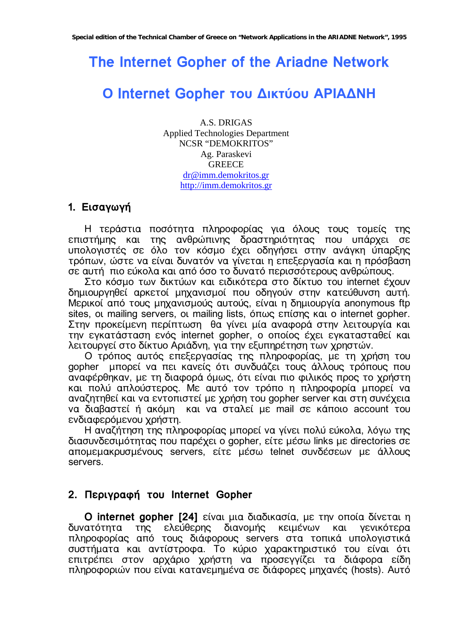# The Internet Gopher of the Ariadne Network

# O Internet Gopher του Δικτύου ΑΡΙΑΔΝΗ

**A.S. DRIGAS Applied Technologies Department NCSR "DEMOKRITOS"** Ag. Paraskevi **GREECE**  $dr@imm.demokritos.gr$ http://imm.demokritos.gr

# 1. Εισαγωγή

Η τεράστια ποσότητα πληροφορίας για όλους τους τομείς της επιστήμης και της ανθρώπινης δραστηριότητας που υπάρχει σε υπολογιστές σε όλο τον κόσμο έχει οδηγήσει στην ανάγκη ύπαρξης τρόπων, ώστε να είναι δυνατόν να γίνεται η επεξεργασία και η πρόσβαση σε αυτή πιο εύκολα και από όσο το δυνατό περισσότερους ανθρώπους.

Στο κόσμο των δικτύων και ειδικότερα στο δίκτυο του internet έχουν δημιουργηθεί αρκετοί μηχανισμοί που οδηγούν στην κατεύθυνση αυτή. Μερικοί από τους μηχανισμούς αυτούς, είναι η δημιουργία anonymous ftp sites, οι mailing servers, οι mailing lists, όπως επίσης και ο internet gopher. Στην προκείμενη περίπτωση θα γίνει μία αναφορά στην λειτουργία και την εγκατάσταση ενός internet gopher, ο οποίος έχει εγκατασταθεί και λειτουργεί στο δίκτυο Αριάδνη, για την εξυπηρέτηση των χρηστών.

Ο τρόπος αυτός επεξεργασίας της πληροφορίας, με τη χρήση του gopher μπορεί να πει κανείς ότι συνδυάζει τους άλλους τρόπους που αναφέρθηκαν, με τη διαφορά όμως, ότι είναι πιο φιλικός προς το χρήστη και πολύ απλούστερος. Με αυτό τον τρόπο η πληροφορία μπορεί να αναζητηθεί και να εντοπιστεί με χρήση του gopher server και στη συνέχεια να διαβαστεί ή ακόμη και να σταλεί με mail σε κάποιο account του ενδιαφερόμενου χρήστη.

Η αναζήτηση της πληροφορίας μπορεί να γίνει πολύ εύκολα, λόγω της διασυνδεσιμότητας που παρέχει ο gopher, είτε μέσω links με directories σε απομεμακρυσμένους servers, είτε μέσω telnet συνδέσεων με άλλους servers.

# 2. Περιγραφή του Internet Gopher

O internet gopher [24] είναι μια διαδικασία, με την οποία δίνεται η της ελεύθερης διανομής κειμένων και δυνατότητα γενικότερα πληροφορίας από τους διάφορους servers στα τοπικά υπολογιστικά συστήματα και αντίστροφα. Το κύριο χαρακτηριστικό του είναι ότι σοστήματα και αντιστροφα: το κοριο χαρακτηριστικό του οιναι στι<br>επιτρέπει στον αρχάριο χρήστη να προσεγγίζει τα διάφορα είδη πληροφοριών που είναι κατανεμημένα σε διάφορες μηχανές (hosts). Αυτό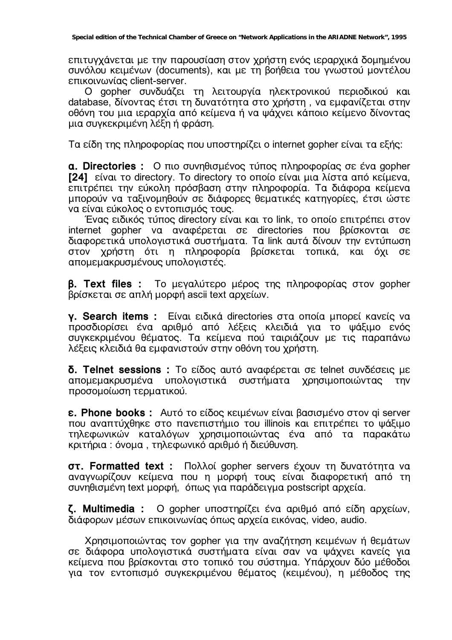επιτυγχάνεται με την παρουσίαση στον χρήστη ενός ιεραρχικά δομημένου συνόλου κειμένων (documents), και με τη βοήθεια του γνωστού μοντέλου επικοινωνίας client-server.

O gopher συνδυάζει τη λειτουργία ηλεκτρονικού περιοδικού και database, δίνοντας έτσι τη δυνατότητα στο χρήστη, να εμφανίζεται στην οθόνη του μια ιεραρχία από κείμενα ή να ψάχνει κάποιο κείμενο δίνοντας μια συνκεκριμένη λέξη ή φράση.

Tα είδη της πληροφορίας που υποστηρίζει ο internet gopher είναι τα εξής:

**a. Directories :** O πιο συνηθισμένος τύπος πληροφορίας σε ένα gopher **[24]** είναι το directory. Το directory το οποίο είναι μια λίστα από κείμενα, επιτρέπει την εύκολη πρόσβαση στην πληροφορία. Τα διάφορα κείμενα μπορούν να ταξινομηθούν σε διάφορες θεματικές κατηγορίες, έτσι ώστε να είναι εύκολος ο εντοπισμός τους.

Ένας ειδικός τύπος directory είναι και το link, το οποίο επιτρέπει στον internet gopher va avaφέρεται σε directories που βρίσκονται σε διαφορετικά υπολογιστικά συστήματα. Τα link αυτά δίνουν την εντύπωση στον χρήστη ότι η πληροφορία βρίσκεται τοπικά, και όχι σε απομεμακρυσμένους υπολογιστές.

**B. Text files :** To μεγαλύτερο μέρος της πληροφορίας στον gopher βρίσκεται σε απλή μορφή ascii text αρχείων.

**γ. Search items :** Eίναι ειδικά directories στα οποία μπορεί κανείς να προσδιορίσει ένα αριθμό από λέξεις κλειδιά για το ψάξιμο ενός συγκεκριμένου θέματος. Τα κείμενα πού ταιριάζουν με τις παραπάνω λέξεις κλειδιά θα εμφανιστούν στην οθόνη του χρήστη.

**δ. Telnet sessions :** Το είδος αυτό αναφέρεται σε telnet συνδέσεις με απομεμακρυσμένα υπολογιστικά συστήματα χρησιμοποιώντας την προσομοίωση τερματικού.

**E. Phone books :** Aυτό το είδος κειμένων είναι βασισμένο στον qi server που αναπτύχθηκε στο πανεπιστήμιο του illinois και επιτρέπει το ψάξιμο τηλεφωνικών καταλόγων χρησιμοποιώντας ένα από τα παρακάτω Κριτήρια: όνομα, τηλεφωνικό αριθμό ή διεύθυνση.

**στ. Formatted text :** Πολλοί gopher servers έχουν τη δυνατότητα να αναγνωρίζουν κείμενα που η μορφή τους είναι διαφορετική από τη συνηθισμένη text μορφή, όπως για παράδειγμα postscript αρχεία.

**ζ. Multimedia :** O gopher υποστηρίζει ένα αριθμό από είδη αρχείων, διάφορων μέσων επικοινωνίας όπως αρχεία εικόνας, video, audio.

Χρησιμοποιώντας τον gopher για την αναζήτηση κειμένων ή θεμάτων σε διάφορα υπολογιστικά συστήματα είναι σαν να ψάχνει κανείς για Κείμενα που βρίσκονται στο τοπικό του σύστημα. Υπάρχουν δύο μέθοδοι για τον εντοπισμό συγκεκριμένου θέματος (κειμένου), η μέθοδος της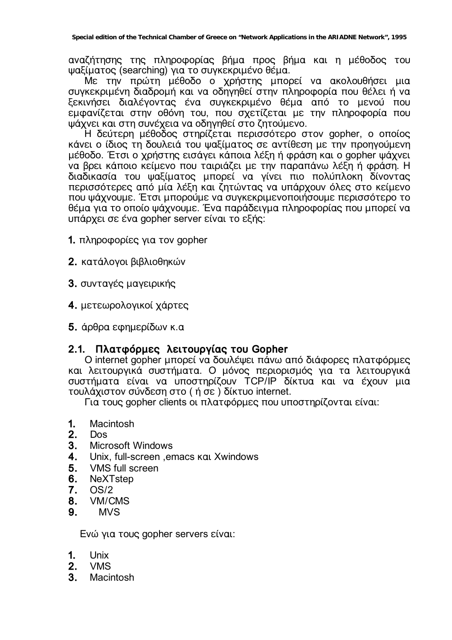αναζήτησης της πληροφορίας βήμα προς βήμα και η μέθοδος του ψαξίματος (searching) για το συγκεκριμένο θέμα.

Με την πρώτη μέθοδο ο χρήστης μπορεί να ακολουθήσει μια συγκεκριμένη διαδρομή και να οδηγηθεί στην πληροφορία που θέλει ή να ξεκινήσει διαλέγοντας ένα συγκεκριμένο θέμα από το μενού που εμφανίζεται στην οθόνη του, που σχετίζεται με την πληροφορία που υάχνει και στη συνέχεια να οδηνηθεί στο ζητούμενο.

Η δεύτερη μέθοδος στηρίζεται περισσότερο στον gopher, ο οποίος κάνει ο ίδιος τη δουλειά του ψαξίματος σε αντίθεση με την προηγούμενη μέθοδο. Έτσι ο χρήστης εισάγει κάποια λέξη ή φράση και ο gopher ψάχνει να βρει κάποιο κείμενο που ταιριάζει με την παραπάνω λέξη ή φράση. Η διαδικασία του ψαξίματος μπορεί να γίνει πιο πολύπλοκη δίνοντας περισσότερες από μία λέξη και ζητώντας να υπάρχουν όλες στο κείμενο που ψάχνουμε. Έτσι μπορούμε να συγκεκριμενοποιήσουμε περισσότερο το θέμα για το οποίο ψάχνουμε. Ένα παράδειγμα πληροφορίας που μπορεί να υπάρχει σε ένα gopher server είναι το εξής:

**1.** πληροφορίες για τον gopher

- **2.** Κατάλονοι βιβλιοθηκών
- **3.** συνταγές μαγειρικής
- **4.** μετεωρολογικοί χάρτες
- **5.** άρθρα εφημερίδων κ.α

# 2.1. Πλατφόρμες λειτουργίας του Gopher

Ο internet gopher μπορεί να δουλέψει πάνω από διάφορες πλατφόρμες και λειτουργικά συστήματα. Ο μόνος περιορισμός για τα λειτουργικά συστήματα είναι να υποστηρίζουν TCP/IP δίκτυα και να έχουν μια τουλάχιστον σύνδεση στο ( ή σε) δίκτυο internet.

Για τους gopher clients οι πλατφόρμες που υποστηρίζονται είναι:

- **1.** Macintosh
- **2.** Dos
- **3.** Microsoft Windows
- **4.** Unix, full-screen, emacs kat Xwindows
- **5.** VMS full screen
- **6.** NeXTstep
- **7.** OS/2
- **8.** VM/CMS
- **9.** MVS

Eνώ για τους gopher servers είναι:

- **1.** Unix
- **2.** VMS
- **3.** Macintosh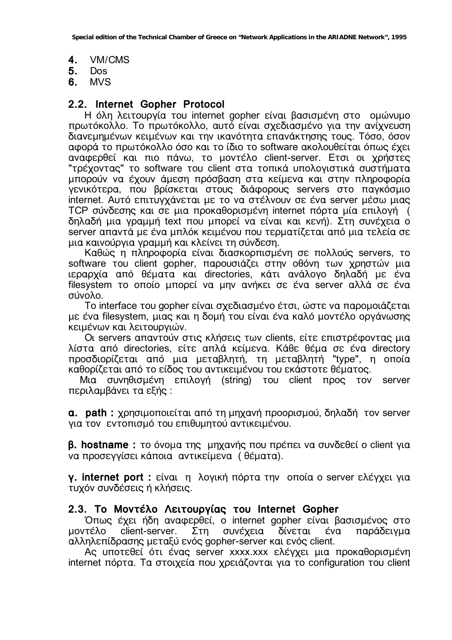**4.** VM/CMS

- 
- **5.** Dos **6.** MVS

# **2.2. Internet Gopher Protocol**

Η όλη λειτουργία του internet gopher είναι βασισμένη στο ομώνυμο πρωτόκολλο. Το πρωτόκολλο, αυτό είναι σχεδιασμένο για την ανίχνευση διανεμημένων κειμένων και την ικανότητα επανάκτησης τους. Τόσο, όσον αφορά το πρωτόκολλο όσο και το ίδιο το software ακολουθείται όπως έχει αναφερθεί και πιο πάνω, το μοντέλο client-server. Ετσι οι χρήστες "τρέχοντας" το software του client στα τοπικά υπολογιστικά συστήματα μπορούν να έχουν άμεση πρόσβαση στα κείμενα και στην πληροφορία γενικότερα, που βρίσκεται στους διάφορους servers στο παγκόσμιο internet. Aυτό επιτυγχάνεται με το να στέλνουν σε ένα server μέσω μιας TCP σύνδεσης και σε μια προκαθορισμένη internet πόρτα μία επιλογή ( δηλαδή μια γραμμή text που μπορεί να είναι και κενή). Στη συνέχεια ο server απαντά με ένα μπλόκ κειμένου που τερματίζεται από μια τελεία σε μια καινούργια γραμμή και κλείνει τη σύνδεση.

Kαθώς η πληροφορία είναι διασκορπισμένη σε πολλούς servers, το software του client gopher, παρουσιάζει στην οθόνη των χρηστών μια ιεραρχία από θέματα και directories, κάτι ανάλογο δηλαδή με ένα filesystem το οποίο μπορεί να μην ανήκει σε ένα server αλλά σε ένα σύνολο.

To interface του gopher είναι σχεδιασμένο έτσι, ώστε να παρομοιάζεται με ένα filesystem, μιας και η δομή του είναι ένα καλό μοντέλο οργάνωσης κειμένων και λειτουργιών.

Oι servers απαντούν στις κλήσεις των clients, είτε επιστρέφοντας μια λίστα από directories, είτε απλά κείμενα. Κάθε θέμα σε ένα directory προσδιορίζεται από μια μεταβλητή, τη μεταβλητή "type", η οποία καθορίζεται από το είδος του αντικειμένου του εκάστοτε θέματος.

Mια συνηθισμένη επιλογή (string) του client προς τον server περιλαμβάνει τα εξής :

**a. bath :** χρησιμοποιείται από τη μηχανή προορισμού, δηλαδή τον server για τον εντοπισμό του επιθυμητού αντικειμένου.

**β. hostname :** το όνομα της μηχανής που πρέπει να συνδεθεί ο client για να προσεγγίσει κάποια αντικείμενα (θέματα).

**γ. internet port :** είναι η λογική πόρτα την οποία ο server ελέγχει για τυχόν συνδέσεις ή κλήσεις.

#### 2.3. Το Μοντέλο Λειτουργίας του Internet Gopher

Όπως έχει ήδη αναφερθεί, ο internet gopher είναι βασισμένος στο μοντέλο client-server. Στη συνέχεια δίνεται ένα παράδειγμα αλληλεπίδρασης μεταξύ ενός gopher-server και ενός client.

Aς υποτεθεί ότι ένας server xxxx.xxx ελέγχει μια προκαθορισμένη internet πόρτα. Τα στοιχεία που χρειάζονται για το configuration του client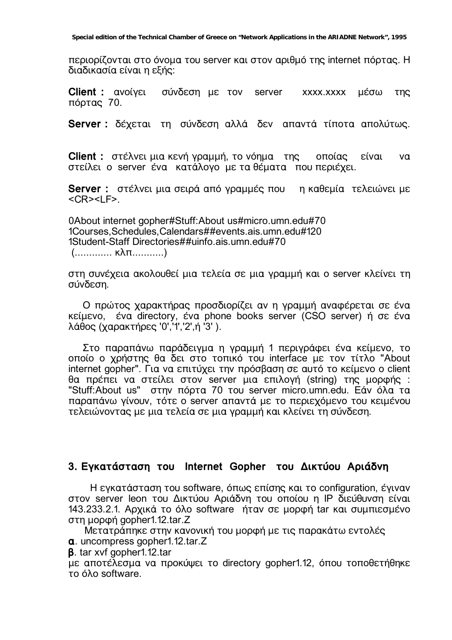περιορίζονται στο όνομα του server και στον αριθμό της internet πόρτας. Η διαδικασία είναι η εξής:

**Client :** ανοίγει σύνδεση με τον server xxxx.xxxx μέσω της πόρτας 70.

**Server :** δέχεται τη σύνδεση αλλά δεν απαντά τίποτα απολύτως.

**Client :** στέλνει μια κενή γραμμή, το νόημα της οποίας είναι να στείλει ο server ένα κατάλογο με τα θέματα που περιέχει.

**Server :** στέλνει μια σειρά από γραμμές που η καθεμία τελειώνει με  $<$ CR $>$  $<$ l F $>$ .

0About internet gopher#Stuff:About us#micro.umn.edu#70 1Courses,Schedules,Calendars##events.ais.umn.edu#120 1Student-Staff Directories##uinfo.ais.umn.edu#70 (.............. κλπ............)

στη συνέχεια ακολουθεί μια τελεία σε μια γραμμή και ο server κλείνει τη σύνδεση.

Ο πρώτος χαρακτήρας προσδιορίζει αν η γραμμή αναφέρεται σε ένα Kείμενο, ένα directory, ένα phone books server (CSO server) ή σε ένα λάθος (χαρακτήρες '0','1','2',ή '3').

Στο παραπάνω παράδειγμα η γραμμή 1 περιγράφει ένα κείμενο, το οποίο ο χρήστης θα δει στο τοπικό του interface με τον τίτλο "About internet gopher". Για να επιτύχει την πρόσβαση σε αυτό το κείμενο ο client θα πρέπει να στείλει στον server μια επιλογή (string) της μορφής : "Stuff: About us" στην πόρτα 70 του server micro.umn.edu. Εάν όλα τα παραπάνω γίνουν, τότε ο server απαντά με το περιεχόμενο του κειμένου τελειώνοντας με μια τελεία σε μια γραμμή και κλείνει τη σύνδεση.

### 3. Εγκατάσταση του Internet Gopher του Δικτύου Αριάδνη

H εγκατάσταση του software, όπως επίσης και το configuration, έγιναν στον server leon του Δικτύου Αριάδνη του οποίου η IP διεύθυνση είναι 143.233.2.1. Αρχικά το όλο software ήταν σε μορφή tar και συμπιεσμένο στη μορφή gopher1.12.tar.Z

Μετατράπηκε στην κανονική του μορφή με τις παρακάτω εντολές

**·**. uncompress gopher1.12.tar.Z

**B.** tar xvf gopher1.12.tar

με αποτέλεσμα να προκύψει το directory gopher1.12, όπου τοποθετήθηκε το όλο software.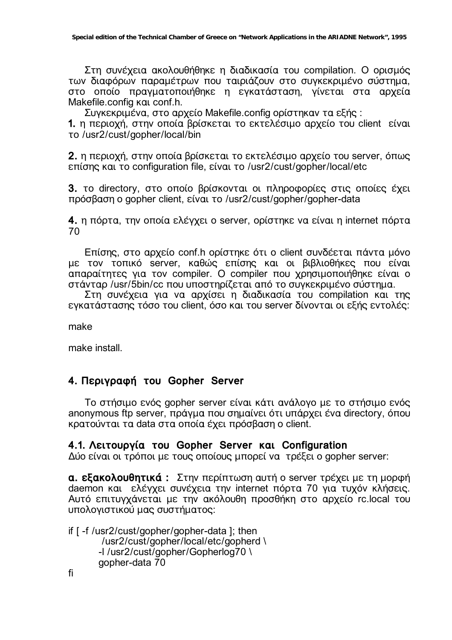Στη συνέχεια ακολουθήθηκε η διαδικασία του compilation. Ο ορισμός των διαφόρων παραμέτρων που ταιριάζουν στο συγκεκριμένο σύστημα, στο οποίο πραγματοποιήθηκε η εγκατάσταση, γίνεται στα αρχεία Makefile.config kat conf.h.

Συγκεκριμένα, στο αρχείο Makefile.config ορίστηκαν τα εξής:

1. η περιοχή, στην οποία βρίσκεται το εκτελέσιμο αρχείο του client είναι το /usr2/cust/gopher/local/bin

2. η περιοχή, στην οποία βρίσκεται το εκτελέσιμο αρχείο του server, όπως επίσης και το configuration file, είναι το /usr2/cust/gopher/local/etc

3. το directory, στο οποίο βρίσκονται οι πληροφορίες στις οποίες έχει πρόσβαση ο gopher client, είναι το /usr2/cust/gopher/gopher-data

4. η πόρτα, την οποία ελέγχει ο server, ορίστηκε να είναι η internet πόρτα 70

Επίσης, στο αρχείο conf.h ορίστηκε ότι ο client συνδέεται πάντα μόνο με τον τοπικό server, καθώς επίσης και οι βιβλιοθήκες που είναι απαραίτητες για τον compiler. Ο compiler που χρησιμοποιήθηκε είναι ο στάνταρ /usr/5bin/cc που υποστηρίζεται από το συγκεκριμένο σύστημα.

Στη συνέχεια για να αρχίσει η διαδικασία του compilation και της εγκατάστασης τόσο του client, όσο και του server δίνονται οι εξής εντολές:

make

make install

# 4. Περιγραφή του Gopher Server

To στήσιμο ενός gopher server είναι κάτι ανάλογο με το στήσιμο ενός anonymous ftp server, πράγμα που σημαίνει ότι υπάρχει ένα directory, όπου κρατούνται τα data στα οποία έχει πρόσβαση ο client.

# 4.1. Λειτουργία του Gopher Server και Configuration

Δύο είναι οι τρόποι με τους οποίους μπορεί να τρέξει ο gopher server:

**α. εξακολουθητικά:** Στην περίπτωση αυτή ο server τρέχει με τη μορφή daemon και ελέγχει συνέχεια την internet πόρτα 70 για τυχόν κλήσεις. Αυτό επιτυγχάνεται με την ακόλουθη προσθήκη στο αρχείο rc.local του υπολογιστικού μας συστήματος:

if [ -f /usr2/cust/gopher/gopher-data ]; then /usr2/cust/gopher/local/etc/gopherd \ -I /usr2/cust/gopher/Gopherlog70\ qopher-data 70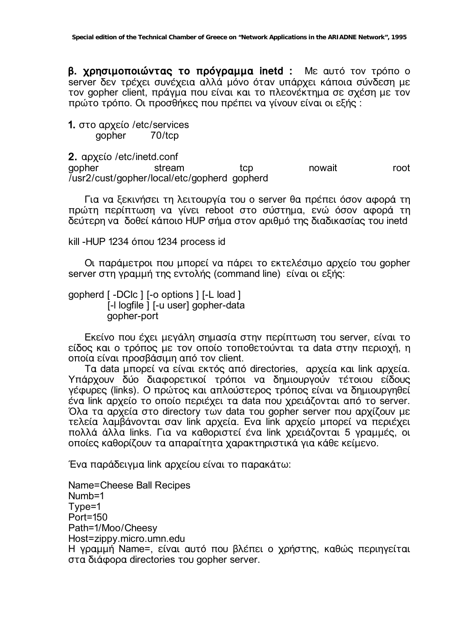β. χρησιμοποιώντας το πρόγραμμα inetd : Με αυτό τον τρόπο ο server δεν τρέχει συνέχεια αλλά μόνο όταν υπάρχει κάποια σύνδεση με τον gopher client, πράγμα που είναι και το πλεονέκτημα σε σχέση με τον πρώτο τρόπο. Οι προσθήκες που πρέπει να γίνουν είναι οι εξής:

#### 1. στο αρχείο /etc/services 70/tcp gopher

2. apxelo / etc/inetd.conf nowait qopher stream tcp root /usr2/cust/gopher/local/etc/gopherd\_gopherd

Για να ξεκινήσει τη λειτουργία του ο server θα πρέπει όσον αφορά τη πρώτη περίπτωση να γίνει reboot στο σύστημα, ενώ όσον αφορά τη δεύτερη να δοθεί κάποιο HUP σήμα στον αριθμό της διαδικασίας του inetd

kill - HUP 1234 όπου 1234 process id

Οι παράμετροι που μπορεί να πάρει το εκτελέσιμο αρχείο του gopher server στη γραμμή της εντολής (command line) είναι οι εξής:

gopherd [-DClc ] [-o options ] [-L load ] [-I logfile ] [-u user] gopher-data gopher-port

Eκείνο που έχει μεγάλη σημασία στην περίπτωση του server, είναι το είδος και ο τρόπος με τον οποίο τοποθετούνται τα data στην περιοχή, η οποία είναι προσβάσιμη από τον client.

Ta data μπορεί να είναι εκτός από directories, αρχεία και link αρχεία. Υπάρχουν δύο διαφορετικοί τρόποι να δημιουργούν τέτοιου είδους γέφυρες (links). Ο πρώτος και απλούστερος τρόπος είναι να δημιουργηθεί ένα link αρχείο το οποίο περιέχει τα data που χρειάζονται από το server. Όλα τα αρχεία στο directory των data του gopher server που αρχίζουν με τελεία λαμβάνονται σαν link αρχεία. Ενα link αρχείο μπορεί να περιέχει πολλά άλλα links. Για να καθοριστεί ένα link χρειάζονται 5 γραμμές, οι οποίες καθορίζουν τα απαραίτητα χαρακτηριστικά για κάθε κείμενο.

Ένα παράδειγμα link αρχείου είναι το παρακάτω:

Name=Cheese Ball Recipes  $Number = 1$ Type=1 Port=150 Path=1/Moo/Cheesy Host=zippy.micro.umn.edu Η γραμμή Name=, είναι αυτό που βλέπει ο χρήστης, καθώς περιηγείται στα διάφορα directories του gopher server.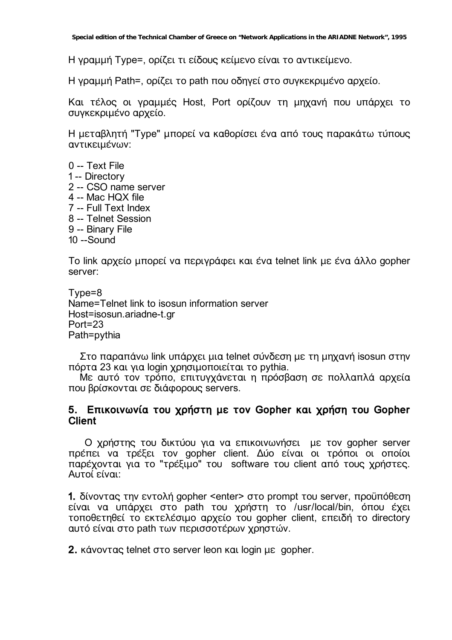Η γραμμή Type=, ορίζει τι είδους κείμενο είναι το αντικείμενο.

H γραμμή Path=, ορίζει το path που οδηγεί στο συγκεκριμένο αρχείο.

Και τέλος οι γραμμές Host, Port ορίζουν τη μηχανή που υπάρχει το συγκεκριμένο αρχείο.

Η μεταβλητή "Τγρe" μπορεί να καθορίσει ένα από τους παρακάτω τύπους αντικειμένων:

- 0 -- Text File
- 1-- Directory
- 2 -- CSO name server
- 4 -- Mac HQX file
- 7 -- Full Text Index
- 8 -- Telnet Session
- 9 -- Binary File
- $10 -$ Sound

To link αρχείο μπορεί να περιγράφει και ένα telnet link με ένα άλλο gopher server:

```
Tvpe=8Name=Telnet link to isosun information server
Host=isosun.ariadne-t.gr
Port = 23Path=pythia
```
Στο παραπάνω link υπάρχει μια telnet σύνδεση με τη μηχανή isosun στην πόρτα 23 και για login χρησιμοποιείται το pythia.

Με αυτό τον τρόπο, επιτυγχάνεται η πρόσβαση σε πολλαπλά αρχεία που βρίσκονται σε διάφορους servers.

### 5. Επικοινωνία του χρήστη με τον Gopher και χρήση του Gopher **Client**

Ο χρήστης του δικτύου για να επικοινωνήσει με τον gopher server πρέπει να τρέξει τον gopher client. Δύο είναι οι τρόποι οι οποίοι παρέχονται για το "τρέξιμο" του software του client από τους χρήστες. Αυτοί είναι:

1. δίνοντας την εντολή gopher <enter> στο prompt του server, προϋπόθεση είναι να υπάρχει στο path του χρήστη το /usr/local/bin, όπου έχει τοποθετηθεί το εκτελέσιμο αρχείο του gopher client, επειδή το directory αυτό είναι στο path των περισσοτέρων χρηστών.

2. κάνοντας telnet στο server leon και login με gopher.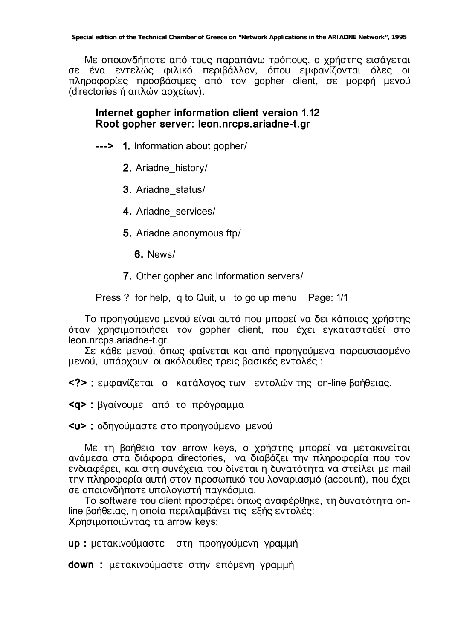Με οποιονδήποτε από τους παραπάνω τρόπους, ο χρήστης εισάγεται σε ένα εντελώς φιλικό περιβάλλον, όπου εμφανίζονται όλες οι πληροφορίες προσβάσιμες από τον gopher client, σε μορφή μενού (directories ή απλών αρχείων).

# Internet gopher information client version 1.12 Root gopher server: leon.nrcps.ariadne-t.gr

---> 1. Information about gopher/

2. Ariadne history/

3. Ariadne status/

4. Ariadne services/

5. Ariadne anonymous ftp/

6. News/

7. Other gopher and Information servers/

Press ? for help, q to Quit, u to go up menu Page: 1/1

Το προηγούμενο μενού είναι αυτό που μπορεί να δει κάποιος χρήστης όταν χρησιμοποιήσει τον gopher client. που έχει ενκατασταθεί στο leon.nrcps.ariadne-t.gr.

Σε κάθε μενού, όπως φαίνεται και από προηγούμενα παρουσιασμένο μενού, υπάρχουν οι ακόλουθες τρεις βασικές εντολές:

<?> : εμφανίζεται ο κατάλογος των εντολών της on-line βοήθειας.

<q> : βγαίνουμε από το πρόγραμμα

<u> : οδηγούμαστε στο προηγούμενο μενού

Με τη βοήθεια τον arrow keys, ο χρήστης μπορεί να μετακινείται ανάμεσα στα διάφορα directories, να διαβάζει την πληροφορία που τον ενδιαφέρει, και στη συνέχεια του δίνεται η δυνατότητα να στείλει με mail την πληροφορία αυτή στον προσωπικό του λογαριασμό (account), που έχει σε οποιονδήποτε υπολογιστή παγκόσμια.

To software του client προσφέρει όπως αναφέρθηκε, τη δυνατότητα online βοήθειας, η οποία περιλαμβάνει τις εξής εντολές: Χρησιμοποιώντας τα arrow keys:

up : μετακινούμαστε στη προηγούμενη γραμμή

down : μετακινούμαστε στην επόμενη γραμμή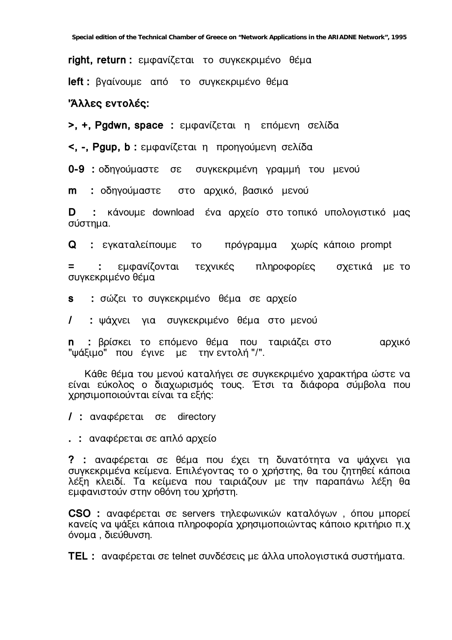right, return : εμφανίζεται το συγκεκριμένο θέμα

left: βγαίνουμε από το συγκεκριμένο θέμα

#### Άλλες εντολές:

>, +, Pgdwn, space : εμφανίζεται η επόμενη σελίδα

<, -, Pgup, b : εμφανίζεται η προηγούμενη σελίδα

0-9 : οδηγούμαστε σε συγκεκριμένη γραμμή του μενού

m : οδηγούμαστε στο αρχικό, βασικό μενού

: κάνουμε download ένα αρχείο στο τοπικό υπολογιστικό μας D σύστημα.

**Q** : εγκαταλείπουμε πρόγραμμα χωρίς κάποιο prompt **TO** 

εμφανίζονται τεχνικές πληροφορίες エンジェット σχετικά με το συγκεκριμένο θέμα

: σώζει το συγκεκριμένο θέμα σε αρχείο **S** 

: ψάχνει για συγκεκριμένο θέμα στο μενού  $\mathcal{L}$ 

: βρίσκει το επόμενο θέμα που ταιριάζει στο το ταρχικό n. "ψάξιμο" που έγινε με την εντολή "/".

Κάθε θέμα του μενού καταλήγει σε συγκεκριμένο χαρακτήρα ώστε να είναι εύκολος ο διαχωρισμός τους. Έτσι τα διάφορα σύμβολα που χρησιμοποιούνται είναι τα εξής:

/ : αναφέρεται σε directory

.: αναφέρεται σε απλό αρχείο

? : αναφέρεται σε θέμα που έχει τη δυνατότητα να ψάχνει για συγκεκριμένα κείμενα. Επιλέγοντας το ο χρήστης, θα του ζητηθεί κάποια λέξη κλειδί. Τα κείμενα που ταιριάζουν με την παραπάνω λέξη θα εμφανιστούν στην οθόνη του χρήστη.

CSO: αναφέρεται σε servers τηλεφωνικών καταλόγων, όπου μπορεί κανείς να ψάξει κάποια πληροφορία χρησιμοποιώντας κάποιο κριτήριο π.χ όνομα. διεύθυνση.

**TEL:** αναφέρεται σε telnet συνδέσεις με άλλα υπολογιστικά συστήματα.